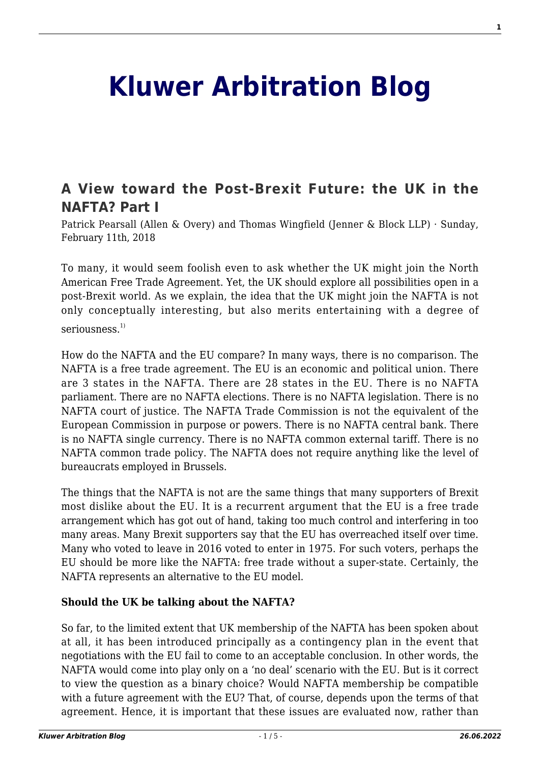# **[Kluwer Arbitration Blog](http://arbitrationblog.kluwerarbitration.com/)**

# **[A View toward the Post-Brexit Future: the UK in the](http://arbitrationblog.kluwerarbitration.com/2018/02/11/view-toward-post-brexit-future-uk-nafta-part/) [NAFTA? Part I](http://arbitrationblog.kluwerarbitration.com/2018/02/11/view-toward-post-brexit-future-uk-nafta-part/)**

Patrick Pearsall (Allen & Overy) and Thomas Wingfield (Jenner & Block LLP) · Sunday, February 11th, 2018

To many, it would seem foolish even to ask whether the UK might join the North American Free Trade Agreement. Yet, the UK should explore all possibilities open in a post-Brexit world. As we explain, the idea that the UK might join the NAFTA is not only conceptually interesting, but also merits entertaining with a degree of seriousness.<sup>1)</sup>

How do the NAFTA and the EU compare? In many ways, there is no comparison. The NAFTA is a free trade agreement. The EU is an economic and political union. There are 3 states in the NAFTA. There are 28 states in the EU. There is no NAFTA parliament. There are no NAFTA elections. There is no NAFTA legislation. There is no NAFTA court of justice. The NAFTA Trade Commission is not the equivalent of the European Commission in purpose or powers. There is no NAFTA central bank. There is no NAFTA single currency. There is no NAFTA common external tariff. There is no NAFTA common trade policy. The NAFTA does not require anything like the level of bureaucrats employed in Brussels.

The things that the NAFTA is not are the same things that many supporters of Brexit most dislike about the EU. It is a recurrent argument that the EU is a free trade arrangement which has got out of hand, taking too much control and interfering in too many areas. Many Brexit supporters say that the EU has overreached itself over time. Many who voted to leave in 2016 voted to enter in 1975. For such voters, perhaps the EU should be more like the NAFTA: free trade without a super-state. Certainly, the NAFTA represents an alternative to the EU model.

### **Should the UK be talking about the NAFTA?**

So far, to the limited extent that UK membership of the NAFTA has been spoken about at all, it has been introduced principally as a contingency plan in the event that negotiations with the EU fail to come to an acceptable conclusion. In other words, the NAFTA would come into play only on a 'no deal' scenario with the EU. But is it correct to view the question as a binary choice? Would NAFTA membership be compatible with a future agreement with the EU? That, of course, depends upon the terms of that agreement. Hence, it is important that these issues are evaluated now, rather than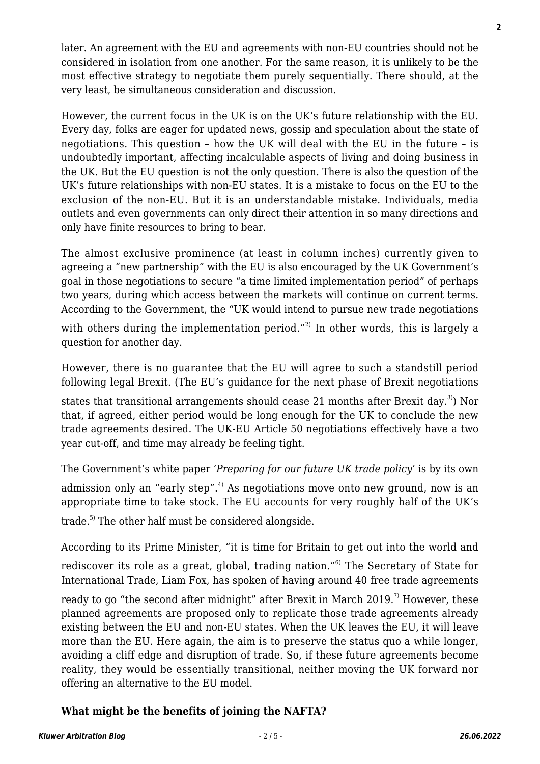later. An agreement with the EU and agreements with non-EU countries should not be considered in isolation from one another. For the same reason, it is unlikely to be the most effective strategy to negotiate them purely sequentially. There should, at the very least, be simultaneous consideration and discussion.

However, the current focus in the UK is on the UK's future relationship with the EU. Every day, folks are eager for updated news, gossip and speculation about the state of negotiations. This question – how the UK will deal with the EU in the future – is undoubtedly important, affecting incalculable aspects of living and doing business in the UK. But the EU question is not the only question. There is also the question of the UK's future relationships with non-EU states. It is a mistake to focus on the EU to the exclusion of the non-EU. But it is an understandable mistake. Individuals, media outlets and even governments can only direct their attention in so many directions and only have finite resources to bring to bear.

The almost exclusive prominence (at least in column inches) currently given to agreeing a "new partnership" with the EU is also encouraged by the UK Government's goal in those negotiations to secure "a time limited implementation period" of perhaps two years, during which access between the markets will continue on current terms. According to the Government, the "UK would intend to pursue new trade negotiations

with others during the implementation period."<sup>2)</sup> In other words, this is largely a question for another day.

However, there is no guarantee that the EU will agree to such a standstill period following legal Brexit. (The EU's guidance for the next phase of Brexit negotiations

states that transitional arrangements should cease 21 months after Brexit day.<sup>3</sup>) Nor that, if agreed, either period would be long enough for the UK to conclude the new trade agreements desired. The UK-EU Article 50 negotiations effectively have a two year cut-off, and time may already be feeling tight.

The Government's white paper *'Preparing for our future UK trade policy'* is by its own admission only an "early step". $4$  As negotiations move onto new ground, now is an appropriate time to take stock. The EU accounts for very roughly half of the UK's

trade.5) The other half must be considered alongside.

According to its Prime Minister, "it is time for Britain to get out into the world and

rediscover its role as a great, global, trading nation."<sup>6)</sup> The Secretary of State for International Trade, Liam Fox, has spoken of having around 40 free trade agreements

ready to go "the second after midnight" after Brexit in March 2019.<sup>7)</sup> However, these planned agreements are proposed only to replicate those trade agreements already existing between the EU and non-EU states. When the UK leaves the EU, it will leave more than the EU. Here again, the aim is to preserve the status quo a while longer, avoiding a cliff edge and disruption of trade. So, if these future agreements become reality, they would be essentially transitional, neither moving the UK forward nor offering an alternative to the EU model.

# **What might be the benefits of joining the NAFTA?**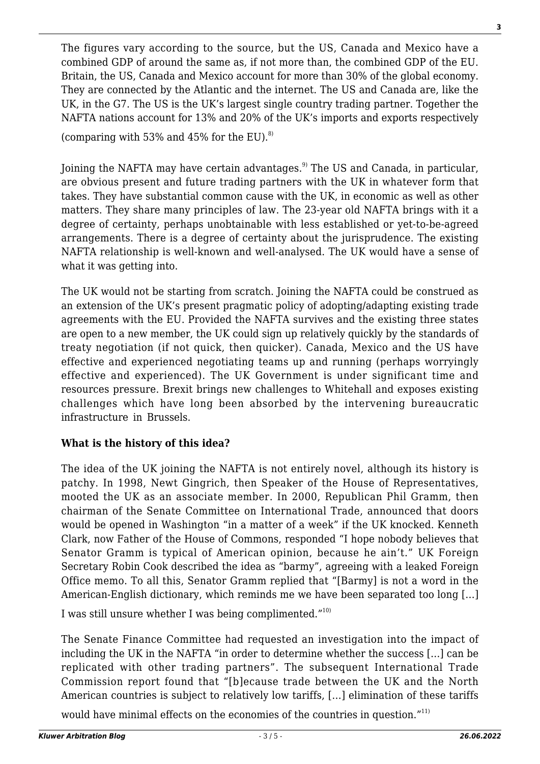The figures vary according to the source, but the US, Canada and Mexico have a combined GDP of around the same as, if not more than, the combined GDP of the EU. Britain, the US, Canada and Mexico account for more than 30% of the global economy. They are connected by the Atlantic and the internet. The US and Canada are, like the UK, in the G7. The US is the UK's largest single country trading partner. Together the NAFTA nations account for 13% and 20% of the UK's imports and exports respectively (comparing with 53% and 45% for the EU). $8$ 

Joining the NAFTA may have certain advantages.<sup>9)</sup> The US and Canada, in particular, are obvious present and future trading partners with the UK in whatever form that takes. They have substantial common cause with the UK, in economic as well as other matters. They share many principles of law. The 23-year old NAFTA brings with it a degree of certainty, perhaps unobtainable with less established or yet-to-be-agreed arrangements. There is a degree of certainty about the jurisprudence. The existing NAFTA relationship is well-known and well-analysed. The UK would have a sense of what it was getting into.

The UK would not be starting from scratch. Joining the NAFTA could be construed as an extension of the UK's present pragmatic policy of adopting/adapting existing trade agreements with the EU. Provided the NAFTA survives and the existing three states are open to a new member, the UK could sign up relatively quickly by the standards of treaty negotiation (if not quick, then quicker). Canada, Mexico and the US have effective and experienced negotiating teams up and running (perhaps worryingly effective and experienced). The UK Government is under significant time and resources pressure. Brexit brings new challenges to Whitehall and exposes existing challenges which have long been absorbed by the intervening bureaucratic infrastructure in Brussels.

## **What is the history of this idea?**

The idea of the UK joining the NAFTA is not entirely novel, although its history is patchy. In 1998, Newt Gingrich, then Speaker of the House of Representatives, mooted the UK as an associate member. In 2000, Republican Phil Gramm, then chairman of the Senate Committee on International Trade, announced that doors would be opened in Washington "in a matter of a week" if the UK knocked. Kenneth Clark, now Father of the House of Commons, responded "I hope nobody believes that Senator Gramm is typical of American opinion, because he ain't." UK Foreign Secretary Robin Cook described the idea as "barmy", agreeing with a leaked Foreign Office memo. To all this, Senator Gramm replied that "[Barmy] is not a word in the American-English dictionary, which reminds me we have been separated too long […]

I was still unsure whether I was being complimented."<sup>10)</sup>

The Senate Finance Committee had requested an investigation into the impact of including the UK in the NAFTA "in order to determine whether the success […] can be replicated with other trading partners". The subsequent International Trade Commission report found that "[b]ecause trade between the UK and the North American countries is subject to relatively low tariffs, […] elimination of these tariffs

would have minimal effects on the economies of the countries in question."<sup>11)</sup>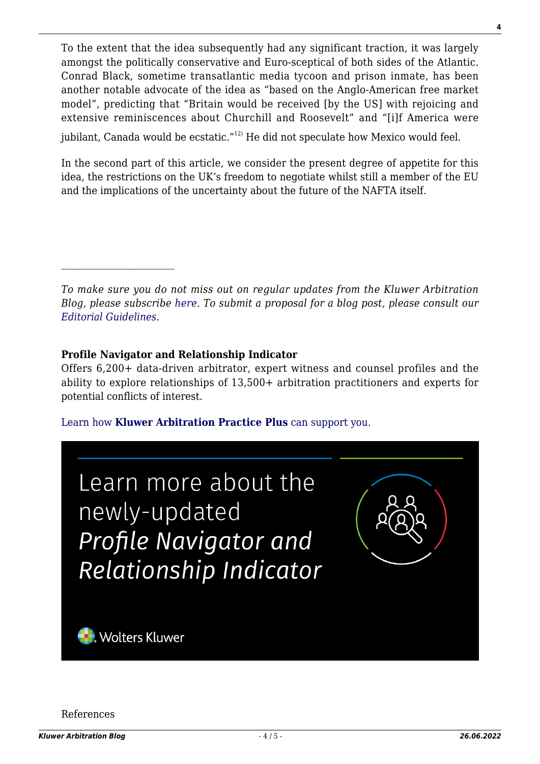To the extent that the idea subsequently had any significant traction, it was largely amongst the politically conservative and Euro-sceptical of both sides of the Atlantic. Conrad Black, sometime transatlantic media tycoon and prison inmate, has been another notable advocate of the idea as "based on the Anglo-American free market model", predicting that "Britain would be received [by the US] with rejoicing and extensive reminiscences about Churchill and Roosevelt" and "[i]f America were jubilant, Canada would be ecstatic."<sup>12)</sup> He did not speculate how Mexico would feel.

In the second part of this article, we consider the present degree of appetite for this idea, the restrictions on the UK's freedom to negotiate whilst still a member of the EU and the implications of the uncertainty about the future of the NAFTA itself.

*To make sure you do not miss out on regular updates from the Kluwer Arbitration Blog, please subscribe [here](http://arbitrationblog.kluwerarbitration.com/newsletter/). To submit a proposal for a blog post, please consult our [Editorial Guidelines.](http://arbitrationblog.kluwerarbitration.com/editorial-guidelines/)*

### **Profile Navigator and Relationship Indicator**

Offers 6,200+ data-driven arbitrator, expert witness and counsel profiles and the ability to explore relationships of 13,500+ arbitration practitioners and experts for potential conflicts of interest.

[Learn how](https://www.wolterskluwer.com/en/solutions/kluwerarbitration/practiceplus?utm_source=arbitrationblog&utm_medium=articleCTA&utm_campaign=article-banner) **[Kluwer Arbitration Practice Plus](https://www.wolterskluwer.com/en/solutions/kluwerarbitration/practiceplus?utm_source=arbitrationblog&utm_medium=articleCTA&utm_campaign=article-banner)** [can support you.](https://www.wolterskluwer.com/en/solutions/kluwerarbitration/practiceplus?utm_source=arbitrationblog&utm_medium=articleCTA&utm_campaign=article-banner)



References